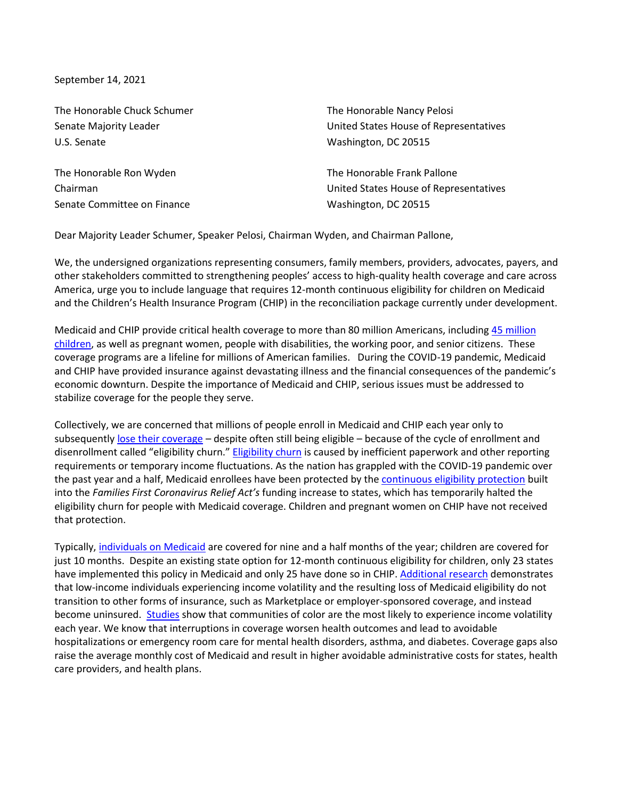September 14, 2021

| The Honorable Chuck Schumer | The Honorable Nancy Pelosi             |
|-----------------------------|----------------------------------------|
| Senate Majority Leader      | United States House of Representatives |
| U.S. Senate                 | Washington, DC 20515                   |
| The Honorable Ron Wyden     | The Honorable Frank Pallone            |
| Chairman                    | United States House of Representatives |
| Senate Committee on Finance | Washington, DC 20515                   |

Dear Majority Leader Schumer, Speaker Pelosi, Chairman Wyden, and Chairman Pallone,

We, the undersigned organizations representing consumers, family members, providers, advocates, payers, and other stakeholders committed to strengthening peoples' access to high-quality health coverage and care across America, urge you to include language that requires 12-month continuous eligibility for children on Medicaid and the Children's Health Insurance Program (CHIP) in the reconciliation package currently under development.

Medicaid and CHIP provide critical health coverage to more than 80 million Americans, including [45 million](https://www.macpac.gov/wp-content/uploads/2015/01/EXHIBIT-32.-Child-Enrollment-in-CHIP-and-Medicaid-by-State-FY-2019-thousands.pdf)  [children,](https://www.macpac.gov/wp-content/uploads/2015/01/EXHIBIT-32.-Child-Enrollment-in-CHIP-and-Medicaid-by-State-FY-2019-thousands.pdf) as well as pregnant women, people with disabilities, the working poor, and senior citizens. These coverage programs are a lifeline for millions of American families. During the COVID-19 pandemic, Medicaid and CHIP have provided insurance against devastating illness and the financial consequences of the pandemic's economic downturn. Despite the importance of Medicaid and CHIP, serious issues must be addressed to stabilize coverage for the people they serve.

Collectively, we are concerned that millions of people enroll in Medicaid and CHIP each year only to subsequently [lose their coverage](https://www.communityplans.net/wp-content/uploads/2019/04/Return_of_Churn_Analysis.pdf) – despite often still being eligible – because of the cycle of enrollment and disenrollment called "eligibility churn." [Eligibility churn](https://aspe.hhs.gov/reports/medicaid-churning-continuity-care) is caused by inefficient paperwork and other reporting requirements or temporary income fluctuations. As the nation has grappled with the COVID-19 pandemic over the past year and a half, Medicaid enrollees have been protected by the [continuous eligibility protection](https://www.cbpp.org/research/health/medicaid-protections-in-families-first-act-critical-to-protecting-health-coverage) built into the *Families First Coronavirus Relief Act's* funding increase to states, which has temporarily halted the eligibility churn for people with Medicaid coverage. Children and pregnant women on CHIP have not received that protection.

Typically, [individuals on Medicaid](https://aspe.hhs.gov/sites/default/files/migrated_legacy_files/199881/medicaid-churning-ib.pdf) are covered for nine and a half months of the year; children are covered for just 10 months. Despite an existing state option for 12-month continuous eligibility for children, only 23 states have implemented this policy in Medicaid and only 25 have done so in CHIP[. Additional research](https://www.healthaffairs.org/doi/10.1377/hlthaff.2019.00378) demonstrates that low-income individuals experiencing income volatility and the resulting loss of Medicaid eligibility do not transition to other forms of insurance, such as Marketplace or employer-sponsored coverage, and instead become uninsured. [Studies](https://www.pewtrusts.org/en/research-and-analysis/issue-briefs/2017/03/how-income-volatility-interacts-with-american-families-financial-security) show that communities of color are the most likely to experience income volatility each year. We know that interruptions in coverage worsen health outcomes and lead to avoidable hospitalizations or emergency room care for mental health disorders, asthma, and diabetes. Coverage gaps also raise the average monthly cost of Medicaid and result in higher avoidable administrative costs for states, health care providers, and health plans.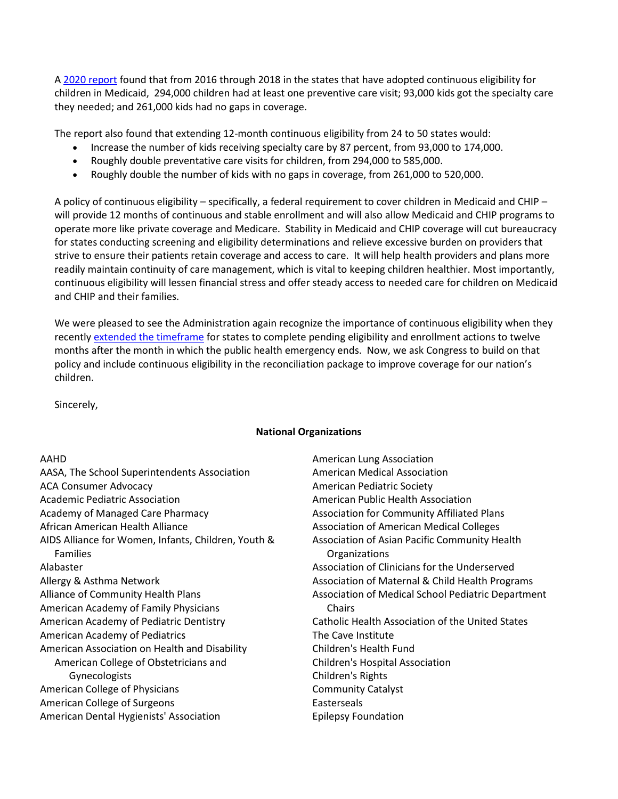A [2020 report](https://www.communityplans.net/wp-content/uploads/2020/06/GW-continuous-eligibility-paper.pdf) found that from 2016 through 2018 in the states that have adopted continuous eligibility for children in Medicaid, 294,000 children had at least one preventive care visit; 93,000 kids got the specialty care they needed; and 261,000 kids had no gaps in coverage.

The report also found that extending 12-month continuous eligibility from 24 to 50 states would:

- Increase the number of kids receiving specialty care by 87 percent, from 93,000 to 174,000.
- Roughly double preventative care visits for children, from 294,000 to 585,000.
- Roughly double the number of kids with no gaps in coverage, from 261,000 to 520,000.

A policy of continuous eligibility – specifically, a federal requirement to cover children in Medicaid and CHIP – will provide 12 months of continuous and stable enrollment and will also allow Medicaid and CHIP programs to operate more like private coverage and Medicare. Stability in Medicaid and CHIP coverage will cut bureaucracy for states conducting screening and eligibility determinations and relieve excessive burden on providers that strive to ensure their patients retain coverage and access to care. It will help health providers and plans more readily maintain continuity of care management, which is vital to keeping children healthier. Most importantly, continuous eligibility will lessen financial stress and offer steady access to needed care for children on Medicaid and CHIP and their families.

We were pleased to see the Administration again recognize the importance of continuous eligibility when they recently [extended the timeframe](https://www.medicaid.gov/federal-policy-guidance/downloads/sho-21-002.pdf) for states to complete pending eligibility and enrollment actions to twelve months after the month in which the public health emergency ends. Now, we ask Congress to build on that policy and include continuous eligibility in the reconciliation package to improve coverage for our nation's children.

Sincerely,

## **National Organizations**

## AAHD

| AASA, The School Superintendents Association        |
|-----------------------------------------------------|
| <b>ACA Consumer Advocacy</b>                        |
| <b>Academic Pediatric Association</b>               |
| <b>Academy of Managed Care Pharmacy</b>             |
| African American Health Alliance                    |
| AIDS Alliance for Women, Infants, Children, Youth & |
| <b>Families</b>                                     |
| Alabaster                                           |
| Allergy & Asthma Network                            |
| Alliance of Community Health Plans                  |
| American Academy of Family Physicians               |
| American Academy of Pediatric Dentistry             |
| American Academy of Pediatrics                      |
| American Association on Health and Disability       |
| American College of Obstetricians and               |
| Gynecologists                                       |
| American College of Physicians                      |
| American College of Surgeons                        |
| American Dental Hygienists' Association             |

American Lung Association American Medical Association American Pediatric Society American Public Health Association Association for Community Affiliated Plans Association of American Medical Colleges Association of Asian Pacific Community Health **Organizations** Association of Clinicians for the Underserved Association of Maternal & Child Health Programs Association of Medical School Pediatric Department **Chairs** Catholic Health Association of the United States The Cave Institute Children's Health Fund Children's Hospital Association Children's Rights Community Catalyst Easterseals Epilepsy Foundation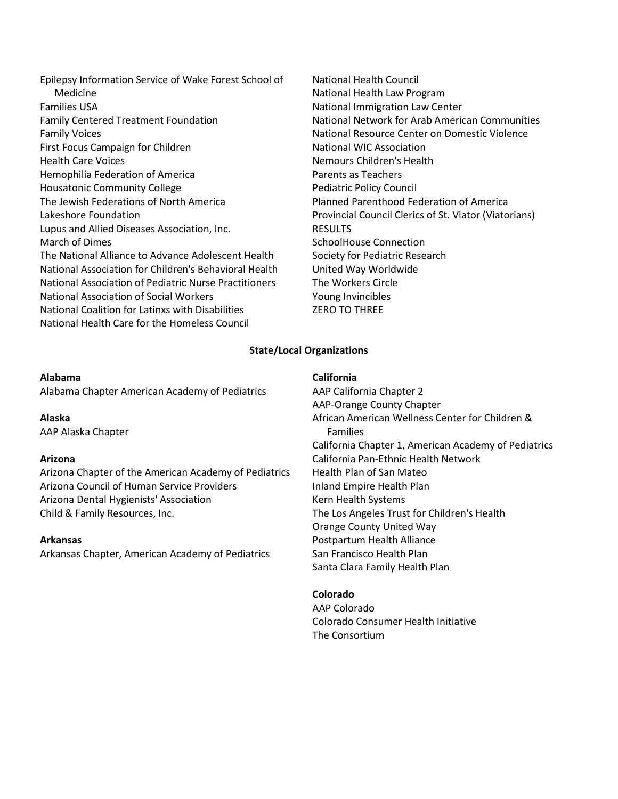Epilepsy Information Service of Wake Forest School of Medicine Families USA Family Centered Treatment Foundation Family Voices First Focus Campaign for Children Health Care Voices Hemophilia Federation of America Housatonic Community College The Jewish Federations of North America Lakeshore Foundation Lupus and Allied Diseases Association, Inc. March of Dimes The National Alliance to Advance Adolescent Health National Association for Children's Behavioral Health National Association of Pediatric Nurse Practitioners National Association of Social Workers National Coalition for Latinxs with Disabilities National Health Care for the Homeless Council

National Health Council National Health Law Program National Immigration Law Center National Network for Arab American Communities National Resource Center on Domestic Violence National WIC Association Nemours Children's Health Parents as Teachers Pediatric Policy Council Planned Parenthood Federation of America Provincial Council Clerics of St. Viator (Viatorians) **RESULTS** SchoolHouse Connection Society for Pediatric Research United Way Worldwide The Workers Circle Young Invincibles ZERO TO THREE

### **State/Local Organizations**

#### **Alabama**

Alabama Chapter American Academy of Pediatrics

**Alaska** AAP Alaska Chapter

#### **Arizona**

Arizona Chapter of the American Academy of Pediatrics Arizona Council of Human Service Providers Arizona Dental Hygienists' Association Child & Family Resources, Inc.

#### **Arkansas**

Arkansas Chapter, American Academy of Pediatrics

#### **California**

AAP California Chapter 2 AAP-Orange County Chapter African American Wellness Center for Children & Families California Chapter 1, American Academy of Pediatrics California Pan-Ethnic Health Network Health Plan of San Mateo Inland Empire Health Plan Kern Health Systems The Los Angeles Trust for Children's Health Orange County United Way Postpartum Health Alliance San Francisco Health Plan Santa Clara Family Health Plan

#### **Colorado**

AAP Colorado Colorado Consumer Health Initiative The Consortium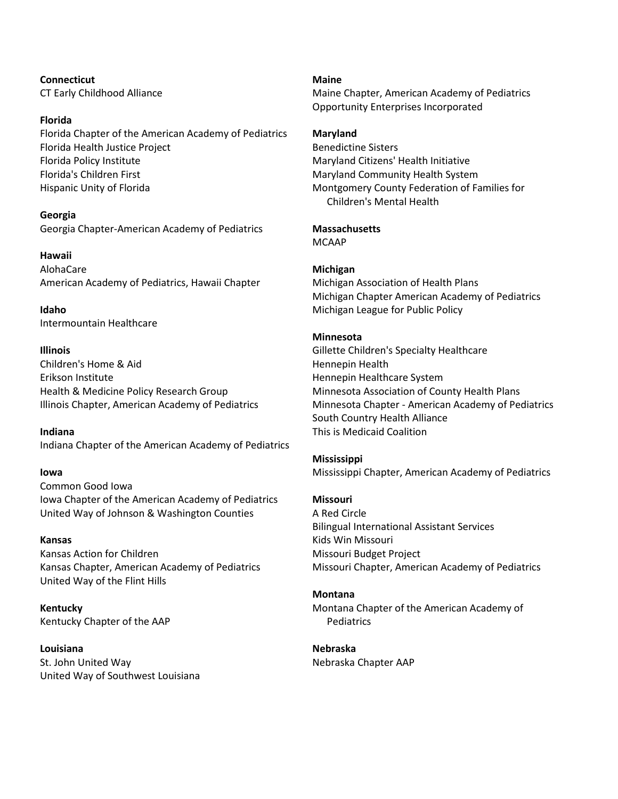**Connecticut** CT Early Childhood Alliance

### **Florida**

Florida Chapter of the American Academy of Pediatrics Florida Health Justice Project Florida Policy Institute Florida's Children First Hispanic Unity of Florida

### **Georgia**

Georgia Chapter-American Academy of Pediatrics

## **Hawaii**

AlohaCare American Academy of Pediatrics, Hawaii Chapter

**Idaho** Intermountain Healthcare

## **Illinois**

Children's Home & Aid Erikson Institute Health & Medicine Policy Research Group Illinois Chapter, American Academy of Pediatrics

## **Indiana**

Indiana Chapter of the American Academy of Pediatrics

## **Iowa**

Common Good Iowa Iowa Chapter of the American Academy of Pediatrics United Way of Johnson & Washington Counties

### **Kansas**

Kansas Action for Children Kansas Chapter, American Academy of Pediatrics United Way of the Flint Hills

**Kentucky** Kentucky Chapter of the AAP

**Louisiana** St. John United Way United Way of Southwest Louisiana **Maine**

Maine Chapter, American Academy of Pediatrics Opportunity Enterprises Incorporated

## **Maryland**

Benedictine Sisters Maryland Citizens' Health Initiative Maryland Community Health System Montgomery County Federation of Families for Children's Mental Health

### **Massachusetts**

MCAAP

## **Michigan**

Michigan Association of Health Plans Michigan Chapter American Academy of Pediatrics Michigan League for Public Policy

### **Minnesota**

Gillette Children's Specialty Healthcare Hennepin Health Hennepin Healthcare System Minnesota Association of County Health Plans Minnesota Chapter - American Academy of Pediatrics South Country Health Alliance This is Medicaid Coalition

### **Mississippi**

Mississippi Chapter, American Academy of Pediatrics

## **Missouri**

A Red Circle Bilingual International Assistant Services Kids Win Missouri Missouri Budget Project Missouri Chapter, American Academy of Pediatrics

### **Montana**

Montana Chapter of the American Academy of **Pediatrics** 

**Nebraska** Nebraska Chapter AAP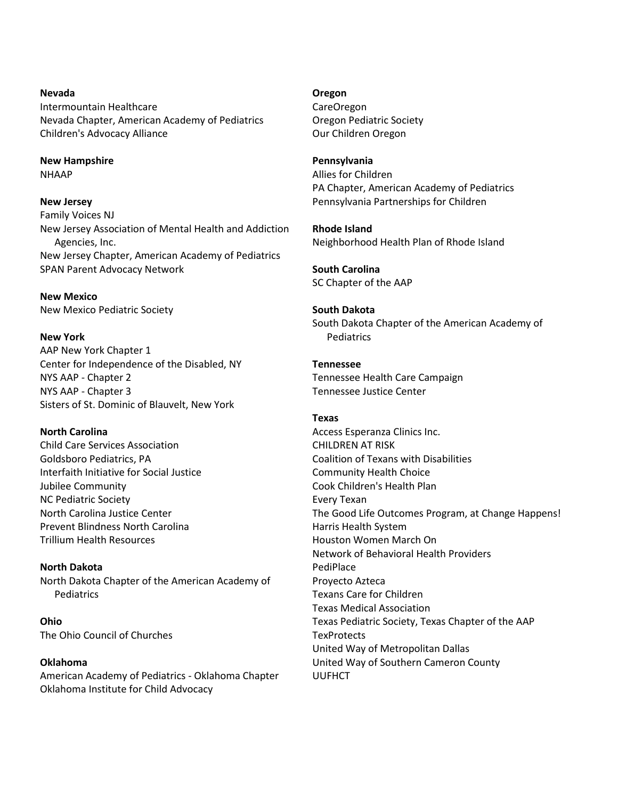## **Nevada** Intermountain Healthcare Nevada Chapter, American Academy of Pediatrics Children's Advocacy Alliance

**New Hampshire NHAAP** 

## **New Jersey**

Family Voices NJ New Jersey Association of Mental Health and Addiction Agencies, Inc. New Jersey Chapter, American Academy of Pediatrics SPAN Parent Advocacy Network

## **New Mexico**

New Mexico Pediatric Society

**New York** AAP New York Chapter 1 Center for Independence of the Disabled, NY NYS AAP - Chapter 2 NYS AAP - Chapter 3 Sisters of St. Dominic of Blauvelt, New York

# **North Carolina** Child Care Services Association Goldsboro Pediatrics, PA Interfaith Initiative for Social Justice Jubilee Community NC Pediatric Society North Carolina Justice Center Prevent Blindness North Carolina Trillium Health Resources

## **North Dakota** North Dakota Chapter of the American Academy of **Pediatrics**

**Ohio** The Ohio Council of Churches

# **Oklahoma**

American Academy of Pediatrics - Oklahoma Chapter Oklahoma Institute for Child Advocacy

### **Oregon**

CareOregon Oregon Pediatric Society Our Children Oregon

## **Pennsylvania**

Allies for Children PA Chapter, American Academy of Pediatrics Pennsylvania Partnerships for Children

**Rhode Island** Neighborhood Health Plan of Rhode Island

**South Carolina** SC Chapter of the AAP

# **South Dakota**

South Dakota Chapter of the American Academy of Pediatrics

# **Tennessee**

Tennessee Health Care Campaign Tennessee Justice Center

# **Texas**

Access Esperanza Clinics Inc. CHILDREN AT RISK Coalition of Texans with Disabilities Community Health Choice Cook Children's Health Plan Every Texan The Good Life Outcomes Program, at Change Happens! Harris Health System Houston Women March On Network of Behavioral Health Providers PediPlace Proyecto Azteca Texans Care for Children Texas Medical Association Texas Pediatric Society, Texas Chapter of the AAP **TexProtects** United Way of Metropolitan Dallas United Way of Southern Cameron County UUFHCT